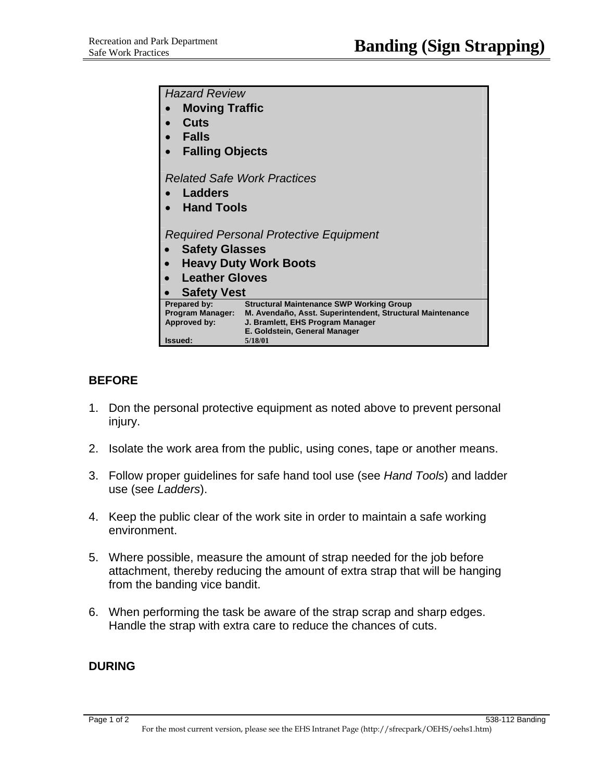| <b>Hazard Review</b>                    |                                                                                               |
|-----------------------------------------|-----------------------------------------------------------------------------------------------|
| <b>Moving Traffic</b>                   |                                                                                               |
| Cuts                                    |                                                                                               |
| <b>Falls</b>                            |                                                                                               |
| <b>Falling Objects</b>                  |                                                                                               |
| <b>Related Safe Work Practices</b>      |                                                                                               |
| Ladders                                 |                                                                                               |
| <b>Hand Tools</b>                       |                                                                                               |
|                                         |                                                                                               |
| Required Personal Protective Equipment  |                                                                                               |
| <b>Safety Glasses</b>                   |                                                                                               |
| <b>Heavy Duty Work Boots</b>            |                                                                                               |
| <b>Leather Gloves</b>                   |                                                                                               |
| <b>Safety Vest</b>                      |                                                                                               |
| Prepared by:                            | <b>Structural Maintenance SWP Working Group</b>                                               |
| <b>Program Manager:</b><br>Approved by: | M. Avendaño, Asst. Superintendent, Structural Maintenance<br>J. Bramlett, EHS Program Manager |
|                                         | E. Goldstein, General Manager                                                                 |
| Issued:                                 | 5/18/01                                                                                       |

## **BEFORE**

- 1. Don the personal protective equipment as noted above to prevent personal injury.
- 2. Isolate the work area from the public, using cones, tape or another means.
- 3. Follow proper guidelines for safe hand tool use (see *Hand Tools*) and ladder use (see *Ladders*).
- 4. Keep the public clear of the work site in order to maintain a safe working environment.
- 5. Where possible, measure the amount of strap needed for the job before attachment, thereby reducing the amount of extra strap that will be hanging from the banding vice bandit.
- 6. When performing the task be aware of the strap scrap and sharp edges. Handle the strap with extra care to reduce the chances of cuts.

## **DURING**